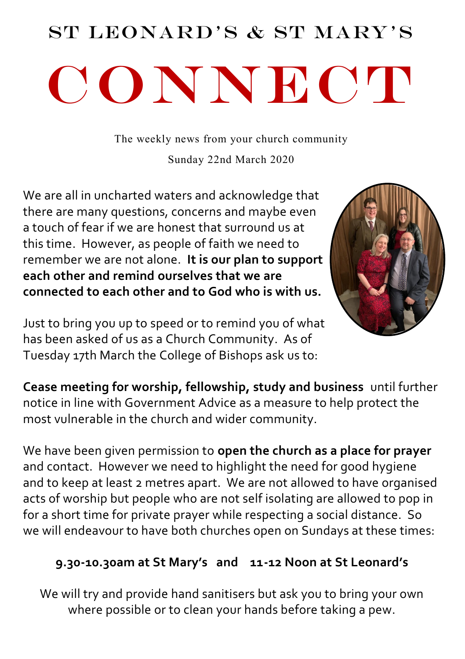# St Leonard's & St Mary's CONNECT

The weekly news from your church community

Sunday 22nd March 2020

We are all in uncharted waters and acknowledge that there are many questions, concerns and maybe even a touch of fear if we are honest that surround us at this time. However, as people of faith we need to remember we are not alone. **It is our plan to support each other and remind ourselves that we are connected to each other and to God who is with us.**



Just to bring you up to speed or to remind you of what has been asked of us as a Church Community. As of Tuesday 17th March the College of Bishops ask us to:

**Cease meeting for worship, fellowship, study and business** until further notice in line with Government Advice as a measure to help protect the most vulnerable in the church and wider community.

We have been given permission to **open the church as a place for prayer**  and contact. However we need to highlight the need for good hygiene and to keep at least 2 metres apart. We are not allowed to have organised acts of worship but people who are not self isolating are allowed to pop in for a short time for private prayer while respecting a social distance. So we will endeavour to have both churches open on Sundays at these times:

#### **9.30-10.30am at St Mary's and 11-12 Noon at St Leonard's**

We will try and provide hand sanitisers but ask you to bring your own where possible or to clean your hands before taking a pew.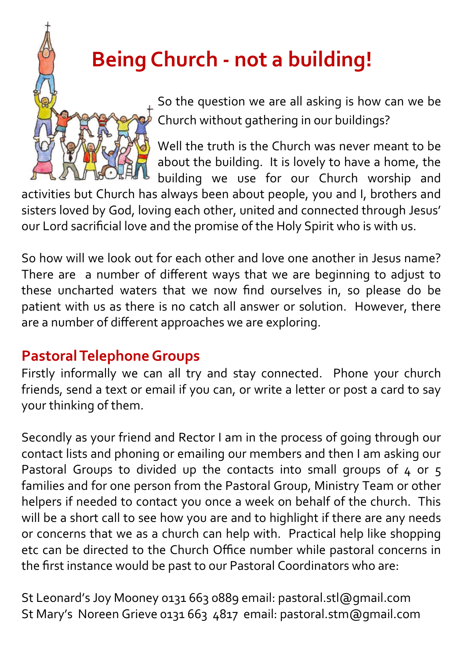### **Being Church - not a building!**

So the question we are all asking is how can we be Church without gathering in our buildings?

Well the truth is the Church was never meant to be about the building. It is lovely to have a home, the building we use for our Church worship and

activities but Church has always been about people, you and I, brothers and sisters loved by God, loving each other, united and connected through Jesus' our Lord sacrificial love and the promise of the Holy Spirit who is with us.

So how will we look out for each other and love one another in Jesus name? There are a number of different ways that we are beginning to adjust to these uncharted waters that we now find ourselves in, so please do be patient with us as there is no catch all answer or solution. However, there are a number of different approaches we are exploring.

#### **Pastoral Telephone Groups**

Firstly informally we can all try and stay connected. Phone your church friends, send a text or email if you can, or write a letter or post a card to say your thinking of them.

Secondly as your friend and Rector I am in the process of going through our contact lists and phoning or emailing our members and then I am asking our Pastoral Groups to divided up the contacts into small groups of  $4$  or  $5$ families and for one person from the Pastoral Group, Ministry Team or other helpers if needed to contact you once a week on behalf of the church. This will be a short call to see how you are and to highlight if there are any needs or concerns that we as a church can help with. Practical help like shopping etc can be directed to the Church Office number while pastoral concerns in the first instance would be past to our Pastoral Coordinators who are:

St Leonard's Joy Mooney 0131 663 0889 email: pastoral.stl@gmail.com St Mary's Noreen Grieve 0131 663 4817 email: pastoral.stm@gmail.com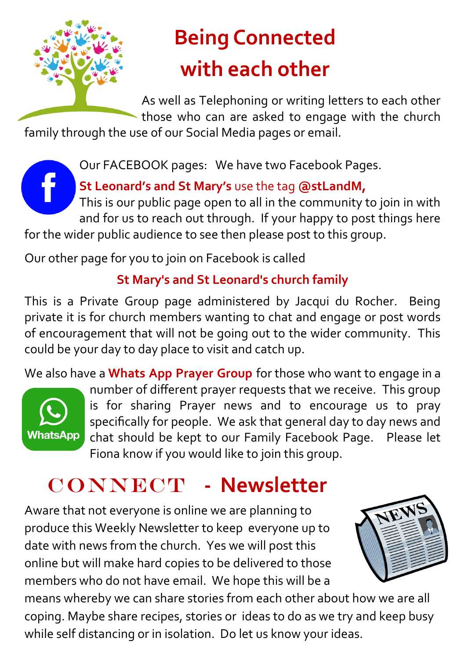

# **Being Connected with each other**

As well as Telephoning or writing letters to each other those who can are asked to engage with the church

family through the use of our Social Media pages or email.

Our FACEBOOK pages: We have two Facebook Pages.

**St Leonard's and St Mary's** use the tag **@stLandM,** 

This is our public page open to all in the community to join in with and for us to reach out through. If your happy to post things here

for the wider public audience to see then please post to this group.

Our other page for you to join on Facebook is called

#### **St Mary's and St Leonard's church family**

This is a Private Group page administered by Jacqui du Rocher. Being private it is for church members wanting to chat and engage or post words of encouragement that will not be going out to the wider community. This could be your day to day place to visit and catch up.

We also have a **Whats App Prayer Group** for those who want to engage in a



number of different prayer requests that we receive. This group is for sharing Prayer news and to encourage us to pray specifically for people. We ask that general day to day news and chat should be kept to our Family Facebook Page. Please let Fiona know if you would like to join this group.

### CONNECT - Newsletter

Aware that not everyone is online we are planning to produce this Weekly Newsletter to keep everyone up to date with news from the church. Yes we will post this online but will make hard copies to be delivered to those members who do not have email. We hope this will be a



means whereby we can share stories from each other about how we are all coping. Maybe share recipes, stories or ideas to do as we try and keep busy while self distancing or in isolation. Do let us know your ideas.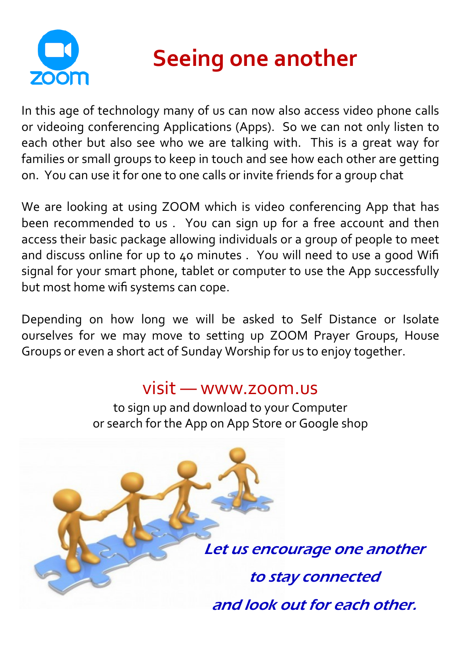

# **Seeing one another**

In this age of technology many of us can now also access video phone calls or videoing conferencing Applications (Apps). So we can not only listen to each other but also see who we are talking with. This is a great way for families or small groups to keep in touch and see how each other are getting on. You can use it for one to one calls or invite friends for a group chat

We are looking at using ZOOM which is video conferencing App that has been recommended to us . You can sign up for a free account and then access their basic package allowing individuals or a group of people to meet and discuss online for up to 40 minutes . You will need to use a good Wifi signal for your smart phone, tablet or computer to use the App successfully but most home wifi systems can cope.

Depending on how long we will be asked to Self Distance or Isolate ourselves for we may move to setting up ZOOM Prayer Groups, House Groups or even a short act of Sunday Worship for us to enjoy together.

### visit — www.zoom.us

to sign up and download to your Computer or search for the App on App Store or Google shop

> Let us encourage one another to stay connected and look out for each other.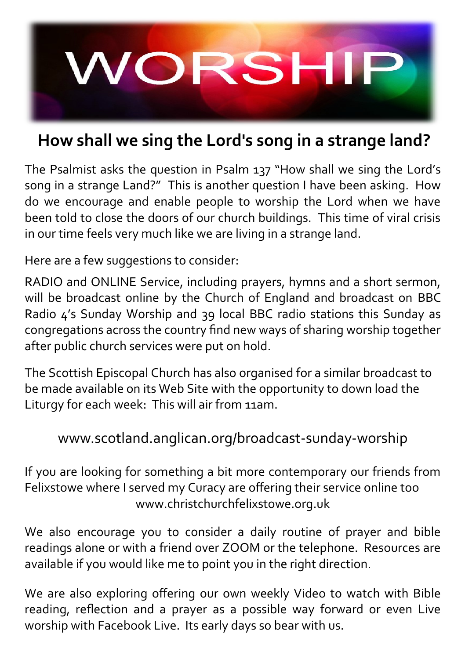

### **How shall we sing the Lord's song in a strange land?**

The Psalmist asks the question in Psalm 137 "How shall we sing the Lord's song in a strange Land?" This is another question I have been asking. How do we encourage and enable people to worship the Lord when we have been told to close the doors of our church buildings. This time of viral crisis in our time feels very much like we are living in a strange land.

Here are a few suggestions to consider:

RADIO and ONLINE Service, including prayers, hymns and a short sermon, will be broadcast online by the Church of England and broadcast on BBC Radio 4's Sunday Worship and 39 local BBC radio stations this Sunday as congregations across the country find new ways of sharing worship together after public church services were put on hold.

The Scottish Episcopal Church has also organised for a similar broadcast to be made available on its Web Site with the opportunity to down load the Liturgy for each week: This will air from 11am.

#### www.scotland.anglican.org/broadcast-sunday-worship

If you are looking for something a bit more contemporary our friends from Felixstowe where I served my Curacy are offering their service online too www.christchurchfelixstowe.org.uk

We also encourage you to consider a daily routine of prayer and bible readings alone or with a friend over ZOOM or the telephone. Resources are available if you would like me to point you in the right direction.

We are also exploring offering our own weekly Video to watch with Bible reading, reflection and a prayer as a possible way forward or even Live worship with Facebook Live. Its early days so bear with us.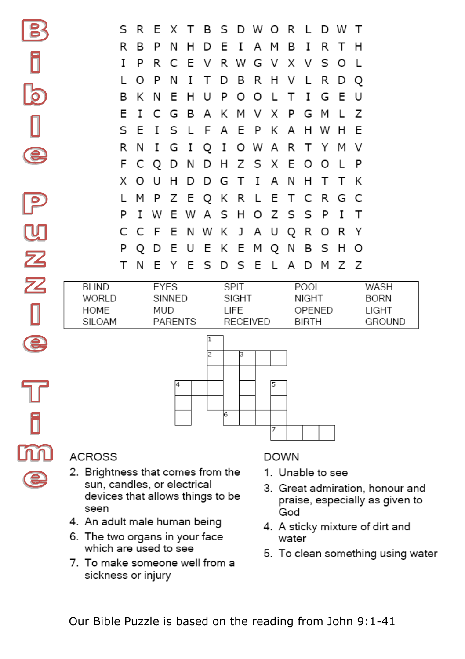|               |                | S R    |                       |      | E X T B S D W O R L D W |                         |             |             |       |                        |       |     |     |         | $\top$                        |             |
|---------------|----------------|--------|-----------------------|------|-------------------------|-------------------------|-------------|-------------|-------|------------------------|-------|-----|-----|---------|-------------------------------|-------------|
|               | R              | B      | P                     | N    | н                       | D                       | Е           | 1           | A     | M                      | в     | I   | R.  | т       | н                             |             |
|               | I              | P      | R                     | C    | E                       | V                       | R           | W           | G     | V                      | X     | - V | S   | $\circ$ |                               |             |
|               | $\mathbf{L}$   | O      | P                     | N    | I                       | т                       | D           | В           | R     | H                      | V     | L   | R   | D       | Q                             |             |
|               | в              | K      | N                     | Е    | н                       | U                       | P           | O           | O     | $\mathbf{I}$           | т     | I   | G   | Ε       | U                             |             |
|               | Ε              | I      | C                     | G    | B                       | А                       | K           | м           | V     | X                      | P     | G   | M   | L       | Ζ                             |             |
|               | S              | F      | Т                     | S    | $\mathbf{L}$            | F                       | A           | Ε           | P     | K                      | А     | н   | W   | н       | F                             |             |
|               | R              | N      | I                     | G    | I                       | Q                       | I           | O           | W     | A                      | R     | т   | Y   | м       | V                             |             |
|               | F              | С      | Q                     | D    | N                       | D                       | H           |             | Z S X |                        | Е     | O   | O   | L       | P                             |             |
|               |                | x o    | U                     | н    | D                       | D                       | G           | $\top$      | I     | A                      | N     | н   | т   | т       | K                             |             |
|               | L              | M      | P                     | Ζ    | E Q K R L E T           |                         |             |             |       |                        |       | C   | - R | G       | - C                           |             |
|               | P              | I      | W                     | Е    | W                       |                         | A S         | H           | o z   |                        | S     | S   | P   | I       | т                             |             |
| ${\mathbb U}$ | C              | C      | F                     | Е    | N                       | W                       | K           | $\mathsf J$ |       | A U                    | Q     | R   | O   | R       | Y                             |             |
|               | P              | Q      | D                     | Е    | U                       | Ε                       | K           | E           | M     | Q                      | N     | в   | s   | н       | O                             |             |
| $\mathbf{Z}$  | т              | N      | Ε                     | Y    | Ε                       | S                       | D           | S           | Ε     | L                      | A     | D   | M   | Ζ       | z                             |             |
| $\mathbf{Z}$  | <b>BLIND</b>   |        |                       | EYES |                         |                         | <b>SPIT</b> |             |       |                        | POOL  |     |     |         |                               | WASH        |
|               | WORLD          | SINNED |                       |      |                         | <b>SIGHT</b>            |             |             |       |                        | NIGHT |     |     |         |                               | <b>BORN</b> |
|               | HOME<br>SILOAM |        | MUD<br><b>PARENTS</b> |      |                         | LIFE<br><b>RECEIVED</b> |             |             |       | OPENED<br><b>BIRTH</b> |       |     |     |         | <b>LIGHT</b><br><b>GROUND</b> |             |
| $\bullet$     |                |        |                       |      |                         | 11.<br>$\overline{ }$   |             | ঢ           |       |                        |       |     |     |         |                               |             |



#### **ACROSS**

ل<br>و

m

Е

- 2. Brightness that comes from the sun, candles, or electrical devices that allows things to be seen
- 4. An adult male human being
- 6. The two organs in your face<br>which are used to see
- 7. To make someone well from a sickness or injury

#### **DOWN**

- 1. Unable to see
- 3. Great admiration, honour and praise, especially as given to God
- 4. A sticky mixture of dirt and water
- 5. To clean something using water

Our Bible Puzzle is based on the reading from John 9:1-41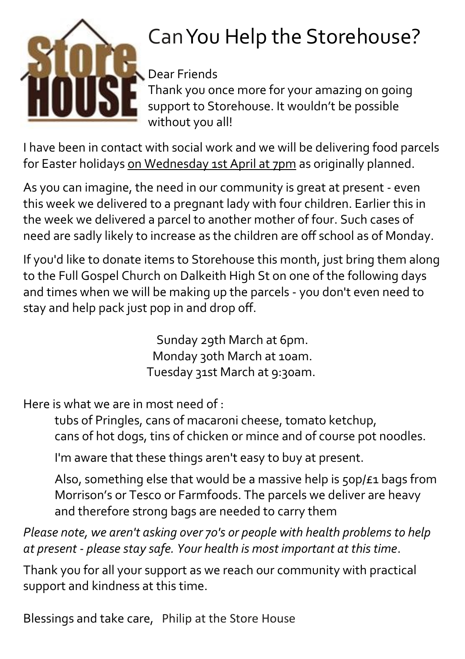

# Can You Help the Storehouse?

Dear Friends

Thank you once more for your amazing on going support to Storehouse. It wouldn't be possible without you all!

I have been in contact with social work and we will be delivering food parcels for Easter holidays on Wednesday 1st April at 7pm as originally planned.

As you can imagine, the need in our community is great at present - even this week we delivered to a pregnant lady with four children. Earlier this in the week we delivered a parcel to another mother of four. Such cases of need are sadly likely to increase as the children are off school as of Monday.

If you'd like to donate items to Storehouse this month, just bring them along to the Full Gospel Church on Dalkeith High St on one of the following days and times when we will be making up the parcels - you don't even need to stay and help pack just pop in and drop off.

> Sunday 29th March at 6pm. Monday 30th March at 10am. Tuesday 31st March at 9:30am.

Here is what we are in most need of  $\cdot$ 

tubs of Pringles, cans of macaroni cheese, tomato ketchup, cans of hot dogs, tins of chicken or mince and of course pot noodles.

I'm aware that these things aren't easy to buy at present.

Also, something else that would be a massive help is 50p/£1 bags from Morrison's or Tesco or Farmfoods. The parcels we deliver are heavy and therefore strong bags are needed to carry them

*Please note, we aren't asking over 70's or people with health problems to help at present - please stay safe. Your health is most important at this time*.

Thank you for all your support as we reach our community with practical support and kindness at this time.

Blessings and take care, Philip at the Store House